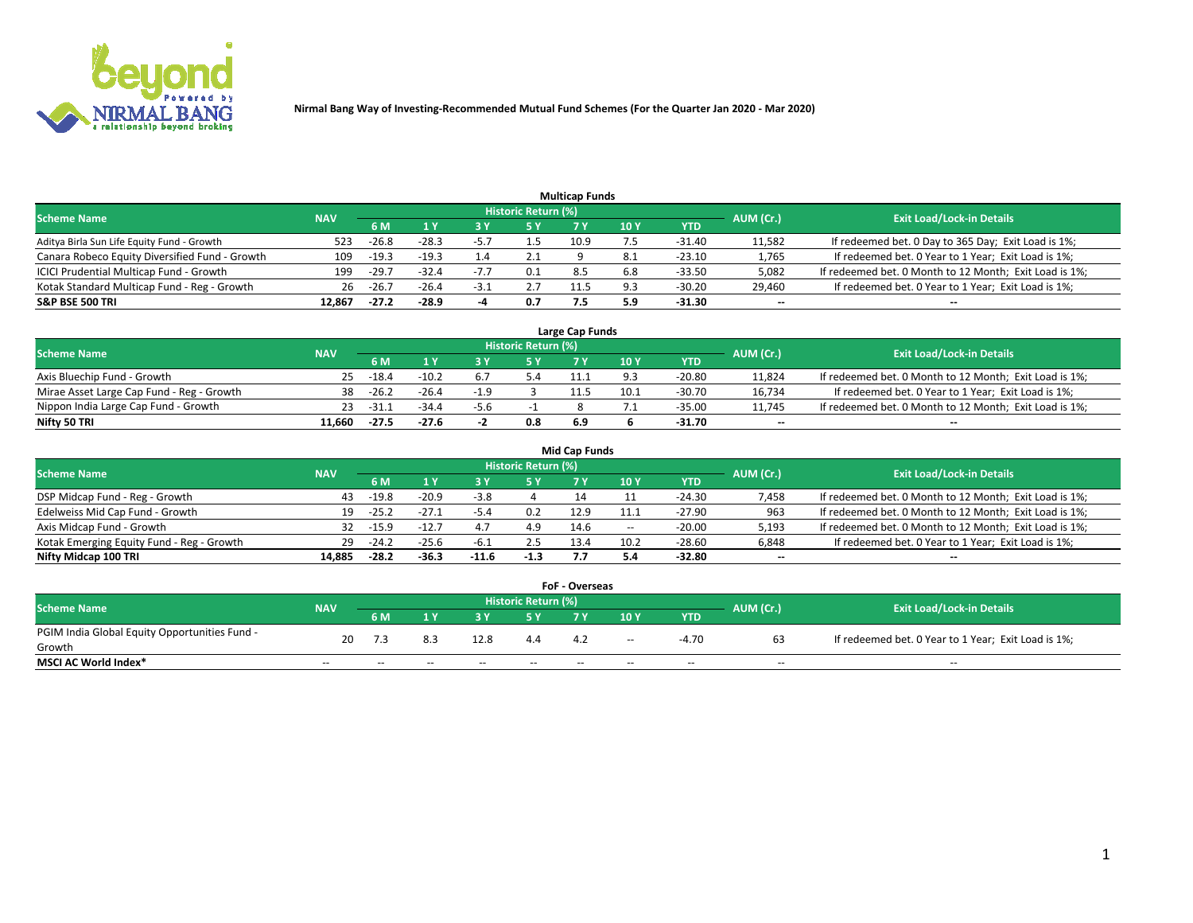

| <b>Multicap Funds</b>                          |            |         |                           |        |                     |      |            |          |           |                                                        |  |  |  |  |
|------------------------------------------------|------------|---------|---------------------------|--------|---------------------|------|------------|----------|-----------|--------------------------------------------------------|--|--|--|--|
| Scheme Name                                    | <b>NAV</b> |         |                           |        | Historic Return (%) |      |            |          | AUM (Cr.) | <b>Exit Load/Lock-in Details</b>                       |  |  |  |  |
|                                                |            | 6 M     | $\mathbf{A}$ $\mathbf{V}$ |        | 5 Y                 |      | 10 ۱       | YTD      |           |                                                        |  |  |  |  |
| Aditya Birla Sun Life Equity Fund - Growth     | 523        | $-26.8$ | $-28.3$                   | -5.7   |                     | 10.9 |            | $-31.40$ | 11,582    | If redeemed bet. 0 Day to 365 Day; Exit Load is 1%;    |  |  |  |  |
| Canara Robeco Equity Diversified Fund - Growth | 109        | $-19.3$ | $-19.3$                   |        | 2.1                 |      |            | -23.10   | 1,765     | If redeemed bet. 0 Year to 1 Year; Exit Load is 1%;    |  |  |  |  |
| ICICI Prudential Multicap Fund - Growth        | 199        | $-29.7$ | $-32.4$                   |        | 0.1                 | 8.5  | 6.8        | $-33.50$ | 5,082     | If redeemed bet. 0 Month to 12 Month; Exit Load is 1%; |  |  |  |  |
| Kotak Standard Multicap Fund - Reg - Growth    | 26         | $-26.7$ | $-26.4$                   | $-3.1$ | 2.7                 |      | Q3         | $-30.20$ | 29,460    | If redeemed bet. 0 Year to 1 Year; Exit Load is 1%;    |  |  |  |  |
| <b>S&amp;P BSE 500 TRI</b>                     | 12.867     | $-27.2$ | $-28.9$                   | -4     | 0.7                 |      | <b>5.9</b> | -31.30   | $\sim$    | $- -$                                                  |  |  |  |  |

| Large Cap Funds                           |            |         |         |                          |                     |     |      |          |           |                                                        |  |  |  |  |
|-------------------------------------------|------------|---------|---------|--------------------------|---------------------|-----|------|----------|-----------|--------------------------------------------------------|--|--|--|--|
| Scheme Name                               | <b>NAV</b> |         |         |                          | Historic Return (%) |     |      |          | AUM (Cr.) | <b>Exit Load/Lock-in Details</b>                       |  |  |  |  |
|                                           |            | 6 M     |         |                          | 5 Y                 |     | 10Y  | YTD      |           |                                                        |  |  |  |  |
| Axis Bluechip Fund - Growth               |            | $-18.4$ | $-10.2$ |                          |                     |     |      | -20.80   | 11,824    | If redeemed bet. 0 Month to 12 Month; Exit Load is 1%; |  |  |  |  |
| Mirae Asset Large Cap Fund - Reg - Growth | 38         | $-26.2$ | $-26.4$ | $-1.0$                   |                     |     | 10.1 | -30.70   | 16,734    | If redeemed bet. 0 Year to 1 Year; Exit Load is 1%;    |  |  |  |  |
| Nippon India Large Cap Fund - Growth      | 23         | -31.1   | $-34.4$ | -5.6                     |                     |     |      | $-35.00$ | 11,745    | If redeemed bet. 0 Month to 12 Month; Exit Load is 1%; |  |  |  |  |
| Nifty 50 TRI                              | 11.660     | $-27.5$ | $-27.6$ | $\overline{\phantom{a}}$ | 0.8                 | 6.9 |      | -31.70   | $\sim$    | $-$                                                    |  |  |  |  |

|                                           |            |         |         |         |                     | <b>Mid Cap Funds</b> |        |            |           |                                                        |
|-------------------------------------------|------------|---------|---------|---------|---------------------|----------------------|--------|------------|-----------|--------------------------------------------------------|
| <b>Scheme Name</b>                        | <b>NAV</b> |         |         |         | Historic Return (%) |                      |        |            | AUM (Cr.) | <b>Exit Load/Lock-in Details</b>                       |
|                                           |            | 6 M     |         |         |                     |                      | 10Y    | <b>YTD</b> |           |                                                        |
| DSP Midcap Fund - Reg - Growth            | 43         | $-19.8$ | $-20.9$ | -3.8    |                     |                      |        | $-24.30$   | 7,458     | If redeemed bet. 0 Month to 12 Month; Exit Load is 1%; |
| Edelweiss Mid Cap Fund - Growth           | 19         | $-25.2$ |         | -5.4    | 0.2                 | 12.9                 |        | -27.90     | 963       | If redeemed bet. 0 Month to 12 Month; Exit Load is 1%; |
| Axis Midcap Fund - Growth                 | 32         | -15.9   | $-12.7$ | 4.7     | 4.9                 | 14.6                 | $\sim$ | $-20.00$   | 5,193     | If redeemed bet. 0 Month to 12 Month; Exit Load is 1%; |
| Kotak Emerging Equity Fund - Reg - Growth | 29         | $-24.2$ | $-25.6$ | $-6.1$  | 2.5                 | 13.4                 | 10.2   | $-28.60$   | 6,848     | If redeemed bet. 0 Year to 1 Year; Exit Load is 1%;    |
| Nifty Midcap 100 TRI                      | 14.885     | $-28.2$ | $-36.3$ | $-11.6$ | $-1.3$              |                      |        | -32.80     | $\sim$    |                                                        |

| <b>FoF - Overseas</b>                         |            |           |                                  |       |       |      |        |            |           |                                                     |  |  |  |
|-----------------------------------------------|------------|-----------|----------------------------------|-------|-------|------|--------|------------|-----------|-----------------------------------------------------|--|--|--|
| <b>Scheme Name</b>                            | <b>NAV</b> |           | <b>Exit Load/Lock-in Details</b> |       |       |      |        |            |           |                                                     |  |  |  |
|                                               |            | <b>6M</b> |                                  |       |       |      | 10Y    | <b>YTD</b> | AUM (Cr.) |                                                     |  |  |  |
| PGIM India Global Equity Opportunities Fund - | 20         |           |                                  | 12.8  | 4.4   | -4.2 | $\sim$ | -4.70      |           | If redeemed bet. 0 Year to 1 Year; Exit Load is 1%; |  |  |  |
| Growth                                        |            |           |                                  |       |       |      |        |            |           |                                                     |  |  |  |
| <b>MSCI AC World Index*</b>                   | $- -$      | $- -$     | $- -$                            | $- -$ | $- -$ |      | $- -$  | $- -$      | $-$       | $- -$                                               |  |  |  |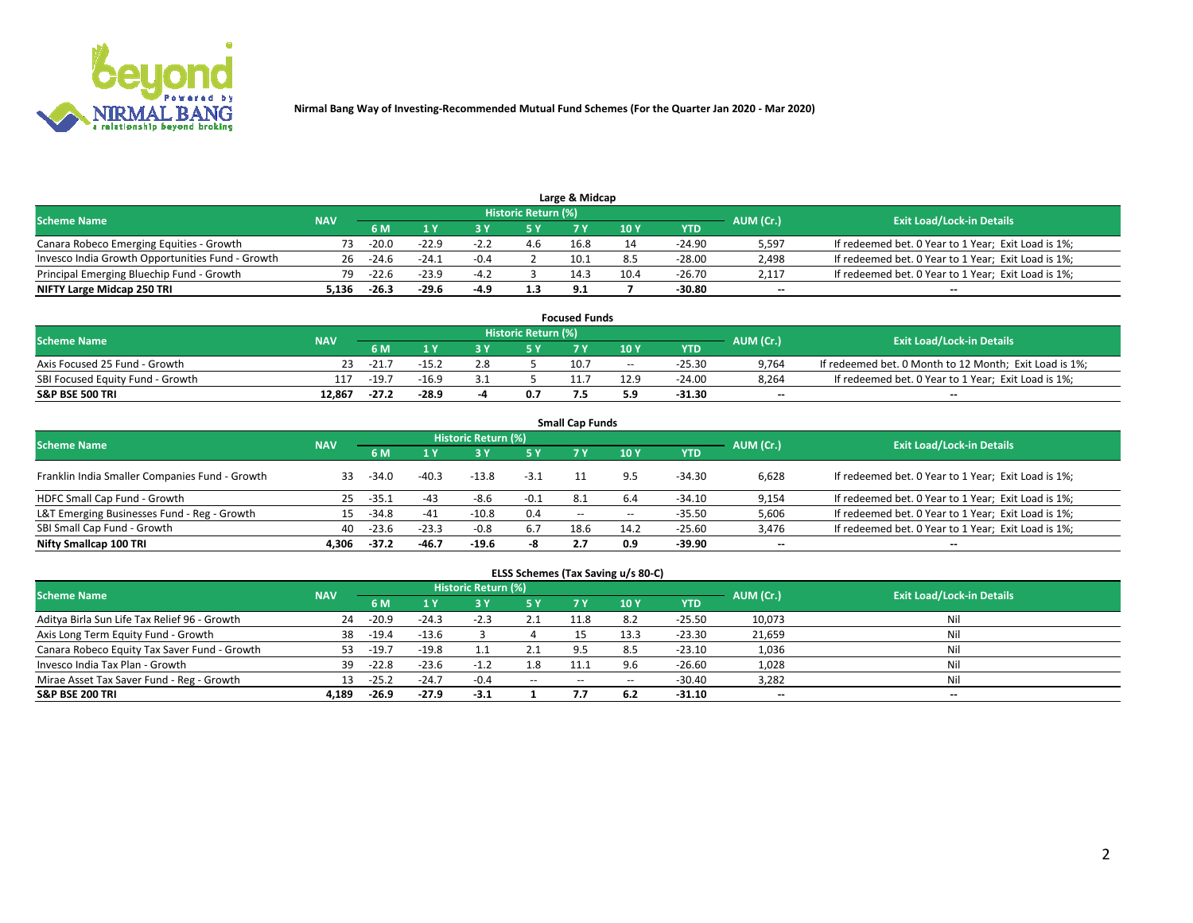

|                                                  |            |         |         |        | Historic Return (%) | Large & Midcap |      |            |                          |                                                     |
|--------------------------------------------------|------------|---------|---------|--------|---------------------|----------------|------|------------|--------------------------|-----------------------------------------------------|
| <b>Scheme Name</b>                               | <b>NAV</b> | 5 M     |         |        |                     |                | 10Y  | <b>YTD</b> | AUM (Cr.)                | <b>Exit Load/Lock-in Details</b>                    |
| Canara Robeco Emerging Equities - Growth         | 73.        | $-20.0$ | $-22.9$ | $-2.2$ |                     | 16.8           |      | -24.90     | 5,597                    | If redeemed bet. 0 Year to 1 Year; Exit Load is 1%; |
| Invesco India Growth Opportunities Fund - Growth | 26         | $-24.6$ | $-24.1$ | $-0.4$ |                     | 10.1           |      | -28.00     | 2,498                    | If redeemed bet. 0 Year to 1 Year; Exit Load is 1%; |
| Principal Emerging Bluechip Fund - Growth        | 79.        | $-22.6$ | $-23.9$ | $-4.2$ |                     | 14.3           | 10.4 | $-26.70$   | 2,117                    | If redeemed bet. 0 Year to 1 Year; Exit Load is 1%; |
| NIFTY Large Midcap 250 TRI                       | 136.د      | $-26.3$ | $-29.6$ | -4.9   | 1.3                 | 9.1            |      | -30.80     | $\overline{\phantom{a}}$ | $- -$                                               |

| <b>Focused Funds</b>             |            |         |         |  |                     |      |       |          |           |                                                        |  |  |  |
|----------------------------------|------------|---------|---------|--|---------------------|------|-------|----------|-----------|--------------------------------------------------------|--|--|--|
| <b>Scheme Name</b>               | <b>NAV</b> |         |         |  | Historic Return (%) |      |       |          | AUM (Cr.) | <b>Exit Load/Lock-in Details</b>                       |  |  |  |
|                                  |            | 6 M     |         |  |                     |      | 10 Y  | YTD      |           |                                                        |  |  |  |
| Axis Focused 25 Fund - Growth    |            | $-21.7$ | $-15.2$ |  |                     | 10.7 | $- -$ | $-25.30$ | 9,764     | If redeemed bet. 0 Month to 12 Month; Exit Load is 1%; |  |  |  |
| SBI Focused Equity Fund - Growth |            | $-19.7$ | $-16.9$ |  |                     |      | 12.9  | $-24.00$ | 8.264     | If redeemed bet. 0 Year to 1 Year; Exit Load is 1%;    |  |  |  |
| <b>S&amp;P BSE 500 TRI</b>       | 12.867     | $-27.2$ | $-28.9$ |  | 0.7                 |      | . و.  | $-31.30$ | $\sim$    | $- -$                                                  |  |  |  |

|                                                |            |         |         |                     |        | <b>Small Cap Funds</b> |       |            |           |                                                     |
|------------------------------------------------|------------|---------|---------|---------------------|--------|------------------------|-------|------------|-----------|-----------------------------------------------------|
| <b>Scheme Name</b>                             | <b>NAV</b> |         |         | Historic Return (%) |        |                        |       |            | AUM (Cr.) | <b>Exit Load/Lock-in Details</b>                    |
|                                                |            | 6 M     |         |                     | 5 Y    |                        | 10Y   | <b>YTD</b> |           |                                                     |
| Franklin India Smaller Companies Fund - Growth | 33.        | $-34.0$ | $-40.3$ | $-13.8$             | $-3.1$ |                        | 9.5   | -34.30     | 6.628     | If redeemed bet. 0 Year to 1 Year; Exit Load is 1%; |
| HDFC Small Cap Fund - Growth                   | 25         | $-35.1$ | -43     | -8.6                | $-0.1$ | 8.1                    | 6.4   | $-34.10$   | 9,154     | If redeemed bet. 0 Year to 1 Year; Exit Load is 1%; |
| L&T Emerging Businesses Fund - Reg - Growth    | 15         | $-34.8$ | $-41$   | $-10.8$             | 0.4    | $- -$                  | $- -$ | -35.50     | 5,606     | If redeemed bet. 0 Year to 1 Year; Exit Load is 1%; |
| SBI Small Cap Fund - Growth                    | 40         | $-23.6$ | $-23.3$ | $-0.8$              | 6.7    | 18.6                   | 14.2  | $-25.60$   | 3,476     | If redeemed bet. 0 Year to 1 Year; Exit Load is 1%; |
| Nifty Smallcap 100 TRI                         | 4.306      | $-37.2$ | $-46.7$ | $-19.6$             | -8     |                        | 0.9   | -39.90     | $\sim$    | $- -$                                               |

## **ELSS Schemes (Tax Saving u/s 80-C)**

| <b>Scheme Name</b>                           | <b>NAV</b> |         |         | <b>Historic Return (%)</b> |           |      |                   |          | AUM (Cr.) | <b>Exit Load/Lock-in Details</b> |
|----------------------------------------------|------------|---------|---------|----------------------------|-----------|------|-------------------|----------|-----------|----------------------------------|
|                                              |            | 6 M     | 1 Y     | 3 Y                        | <b>5Y</b> | 7 Y  | 10Y               | YTD      |           |                                  |
| Aditya Birla Sun Life Tax Relief 96 - Growth | 24         | $-20.9$ | $-24.3$ | $-2.3$                     | 2.1       | 11.8 | 8.2               | $-25.50$ | 10,073    | Nil                              |
| Axis Long Term Equity Fund - Growth          | 38         | $-19.4$ | $-13.6$ |                            |           |      | $13.\overline{3}$ | $-23.30$ | 21,659    | Nil                              |
| Canara Robeco Equity Tax Saver Fund - Growth | 53         | $-19.7$ | $-19.8$ |                            |           | 9.5  | 8.5               | $-23.10$ | 1,036     | Nil                              |
| Invesco India Tax Plan - Growth              | 39         | $-22.8$ | $-23.6$ | $-1.2$                     | 1.8       | 11.  | 9.6               | $-26.60$ | 1,028     | Nil                              |
| Mirae Asset Tax Saver Fund - Reg - Growth    | 13         | $-25.2$ | $-24.7$ | $-0.4$                     | $- -$     | --   |                   | $-30.40$ | 3,282     | Nil                              |
| S&P BSE 200 TRI                              | 4.189      | -26.9   | $-27.9$ | $-3.1$                     |           |      | 6.2               | $-31.10$ | $\sim$    | $\overline{\phantom{a}}$         |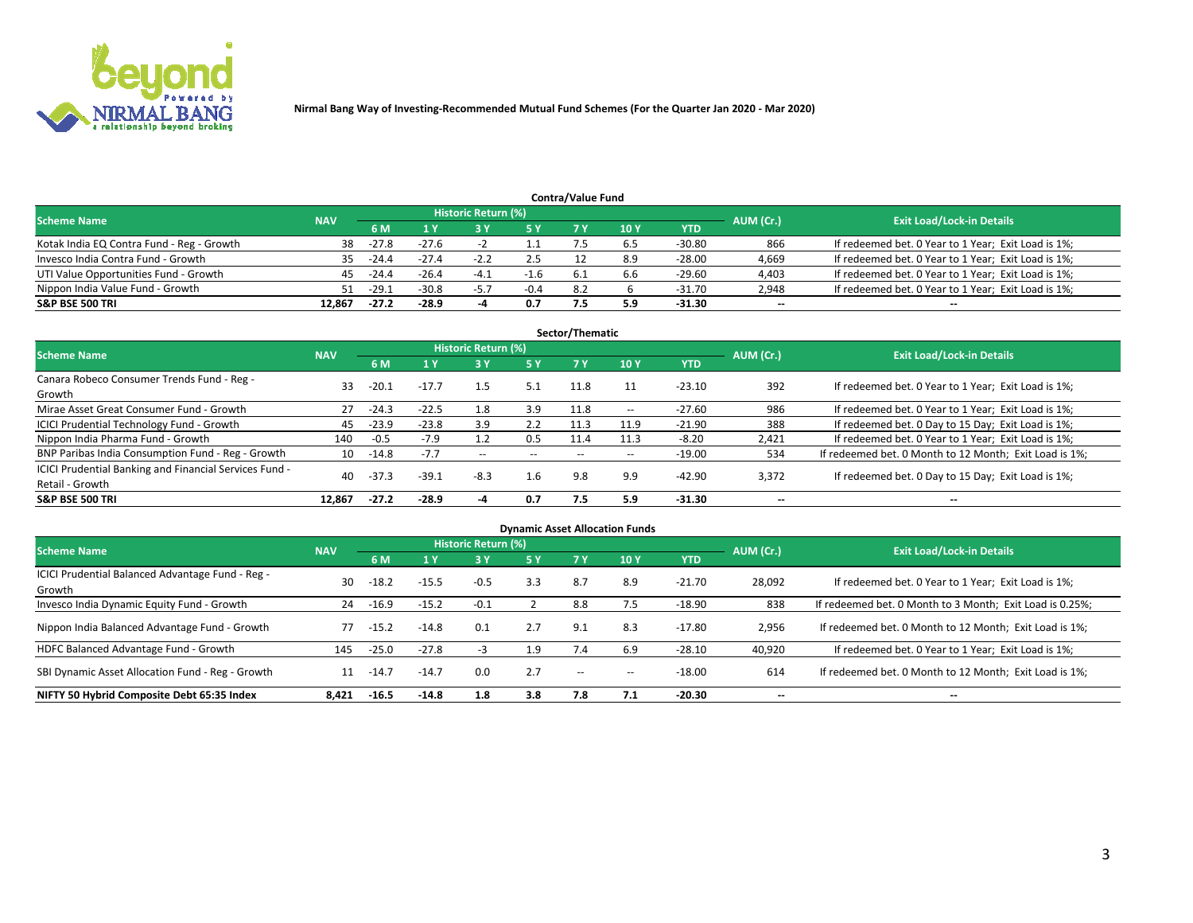

|                                           |            |         |         |                     |        | <b>Contra/Value Fund</b> |     |          |           |                                                     |
|-------------------------------------------|------------|---------|---------|---------------------|--------|--------------------------|-----|----------|-----------|-----------------------------------------------------|
| <b>Scheme Name</b>                        | <b>NAV</b> |         |         | Historic Return (%) |        |                          |     |          | AUM (Cr.) | <b>Exit Load/Lock-in Details</b>                    |
|                                           |            | 6 M     |         |                     | 5 Y    | 7 V                      | 10Y | YTD      |           |                                                     |
| Kotak India EQ Contra Fund - Reg - Growth | 38         | $-27.8$ | $-27.6$ |                     |        |                          |     | -30.80   | 866       | If redeemed bet. 0 Year to 1 Year; Exit Load is 1%; |
| Invesco India Contra Fund - Growth        | 35.        | $-24.4$ | $-27.4$ | $-1$                | 2.5    |                          | 8.9 | -28.00   | 4,669     | If redeemed bet. 0 Year to 1 Year; Exit Load is 1%; |
| UTI Value Opportunities Fund - Growth     | 45         | $-24.4$ | $-26.4$ | $-4.1$              | $-1.6$ |                          | 6.b | $-29.60$ | 4,403     | If redeemed bet. 0 Year to 1 Year; Exit Load is 1%; |
| Nippon India Value Fund - Growth          |            | $-29.1$ | $-30.8$ | $-5.7$              | $-0.4$ | 8.2                      |     | $-31.70$ | 2,948     | If redeemed bet. 0 Year to 1 Year; Exit Load is 1%; |
| <b>S&amp;P BSE 500 TRI</b>                | 12.867     | $-27.2$ | $-28.9$ |                     | 0.7    |                          | 5.9 | -31.30   | $\sim$    | $- -$                                               |

|                                                                           |            |           |         |                     |       | Sector/Thematic |                          |            |                          |                                                        |
|---------------------------------------------------------------------------|------------|-----------|---------|---------------------|-------|-----------------|--------------------------|------------|--------------------------|--------------------------------------------------------|
| <b>Scheme Name</b>                                                        | <b>NAV</b> |           |         | Historic Return (%) |       |                 |                          |            | AUM (Cr.)                | <b>Exit Load/Lock-in Details</b>                       |
|                                                                           |            | 6 M       | 1 Y     | 73 Y                | 15 Y  | 7 Y             | 10Y                      | <b>YTD</b> |                          |                                                        |
| Canara Robeco Consumer Trends Fund - Reg -<br>Growth                      | 33         | $-20.1$   | $-17.7$ | 1.5                 | 5.1   | 11.8            |                          | $-23.10$   | 392                      | If redeemed bet. 0 Year to 1 Year; Exit Load is 1%;    |
| Mirae Asset Great Consumer Fund - Growth                                  | 27         | $-24.3$   | $-22.5$ | 1.8                 | 3.9   | 11.8            | $\overline{\phantom{a}}$ | $-27.60$   | 986                      | If redeemed bet. 0 Year to 1 Year; Exit Load is 1%;    |
| ICICI Prudential Technology Fund - Growth                                 | 45         | $-23.9$   | $-23.8$ | 3.9                 | 2.2   | 11.3            | 11.9                     | $-21.90$   | 388                      | If redeemed bet. 0 Day to 15 Day; Exit Load is 1%;     |
| Nippon India Pharma Fund - Growth                                         | 140        | $-0.5$    | $-7.9$  |                     | 0.5   | 11.4            | 11.3                     | $-8.20$    | 2,421                    | If redeemed bet. 0 Year to 1 Year; Exit Load is 1%;    |
| BNP Paribas India Consumption Fund - Reg - Growth                         |            | 10 - 14.8 | $-7.7$  | $\sim$              | $- -$ | $- -$           | $- -$                    | $-19.00$   | 534                      | If redeemed bet. 0 Month to 12 Month; Exit Load is 1%; |
| ICICI Prudential Banking and Financial Services Fund -<br>Retail - Growth | 40         | $-37.3$   | $-39.1$ | $-8.3$              | 1.6   | 9.8             | 9.9                      | $-42.90$   | 3,372                    | If redeemed bet. 0 Day to 15 Day; Exit Load is 1%;     |
| <b>S&amp;P BSE 500 TRI</b>                                                | 12.867     | $-27.2$   | $-28.9$ |                     | 0.7   | 7.5             | 5.9                      | -31.30     | $\overline{\phantom{a}}$ | $\overline{\phantom{a}}$                               |

| <b>Dynamic Asset Allocation Funds</b>                      |            |         |         |                            |     |               |                          |            |                          |                                                          |  |  |  |
|------------------------------------------------------------|------------|---------|---------|----------------------------|-----|---------------|--------------------------|------------|--------------------------|----------------------------------------------------------|--|--|--|
| <b>Scheme Name</b>                                         | <b>NAV</b> |         |         | <b>Historic Return (%)</b> |     |               |                          |            | AUM (Cr.)                | <b>Exit Load/Lock-in Details</b>                         |  |  |  |
|                                                            |            | 6 M     | 1 Y     | 73 Y                       | 5 Y | <b>7 Y</b>    | 10 <sub>Y</sub>          | <b>YTD</b> |                          |                                                          |  |  |  |
| ICICI Prudential Balanced Advantage Fund - Reg -<br>Growth | 30         | $-18.2$ | $-15.5$ | $-0.5$                     | 3.3 | 8.7           | 8.9                      | $-21.70$   | 28,092                   | If redeemed bet. 0 Year to 1 Year; Exit Load is 1%;      |  |  |  |
| Invesco India Dynamic Equity Fund - Growth                 | 24         | $-16.9$ | $-15.2$ | $-0.1$                     |     | 8.8           | 7.5                      | $-18.90$   | 838                      | If redeemed bet. 0 Month to 3 Month; Exit Load is 0.25%; |  |  |  |
| Nippon India Balanced Advantage Fund - Growth              | 77         | $-15.2$ | $-14.8$ | 0.1                        | 2.7 | 9.1           | 8.3                      | $-17.80$   | 2,956                    | If redeemed bet. 0 Month to 12 Month; Exit Load is 1%;   |  |  |  |
| HDFC Balanced Advantage Fund - Growth                      | 145        | $-25.0$ | $-27.8$ | -3                         | 1.9 | 7.4           | 6.9                      | $-28.10$   | 40,920                   | If redeemed bet. 0 Year to 1 Year; Exit Load is 1%;      |  |  |  |
| SBI Dynamic Asset Allocation Fund - Reg - Growth           | 11         | $-14.7$ | $-14.7$ | 0.0                        | 2.7 | $\sim$ $\sim$ | $\overline{\phantom{m}}$ | $-18.00$   | 614                      | If redeemed bet. 0 Month to 12 Month; Exit Load is 1%;   |  |  |  |
| NIFTY 50 Hybrid Composite Debt 65:35 Index                 | 8.421      | $-16.5$ | $-14.8$ | 1.8                        | 3.8 | 7.8           | 7.1                      | $-20.30$   | $\overline{\phantom{a}}$ | --                                                       |  |  |  |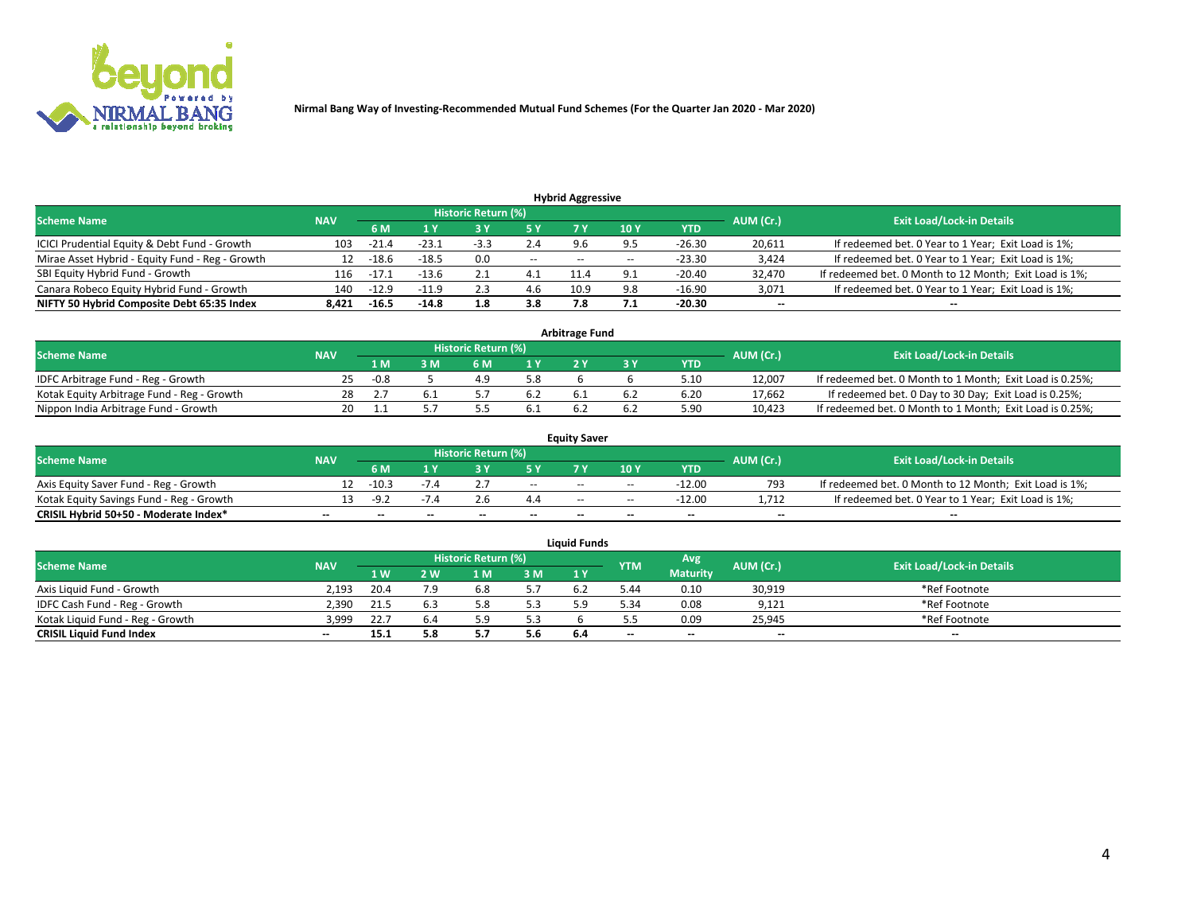

|                                                                                                          |       |         |         |        |       | <b>Hybrid Aggressive</b> |              |            |        |                                                        |  |  |  |  |
|----------------------------------------------------------------------------------------------------------|-------|---------|---------|--------|-------|--------------------------|--------------|------------|--------|--------------------------------------------------------|--|--|--|--|
| Historic Return (%)<br><b>Exit Load/Lock-in Details</b><br>AUM (Cr.)<br><b>Scheme Name</b><br><b>NAV</b> |       |         |         |        |       |                          |              |            |        |                                                        |  |  |  |  |
|                                                                                                          |       | 6 M     | 1 Y     |        | 5 Y   |                          | 10 Y         | <b>YTD</b> |        |                                                        |  |  |  |  |
| ICICI Prudential Equity & Debt Fund - Growth                                                             | 103   | $-21.4$ | $-23.1$ | $-3.3$ | 2.4   | 9.6                      | 9.5          | $-26.30$   | 20,611 | If redeemed bet. 0 Year to 1 Year; Exit Load is 1%;    |  |  |  |  |
| Mirae Asset Hybrid - Equity Fund - Reg - Growth                                                          | 12    | $-18.6$ | $-18.5$ | 0.0    | $- -$ | $- -$                    |              | $-23.30$   | 3,424  | If redeemed bet. 0 Year to 1 Year; Exit Load is 1%;    |  |  |  |  |
| SBI Equity Hybrid Fund - Growth                                                                          | 116   | -17.1   | $-13.6$ | 2.1    | 4.1   | 11.4                     | $^{\circ}$ 1 | $-20.40$   | 32,470 | If redeemed bet. 0 Month to 12 Month; Exit Load is 1%; |  |  |  |  |
| Canara Robeco Equity Hybrid Fund - Growth                                                                | 140   | $-12.9$ | -11.9   | 2.3    |       | 10.9                     | 9.8          | -16.90     | 3,071  | If redeemed bet. 0 Year to 1 Year; Exit Load is 1%;    |  |  |  |  |
| NIFTY 50 Hybrid Composite Debt 65:35 Index                                                               | 8.421 | $-16.5$ | $-14.8$ | 1.8    | 3.8   | 7.8                      |              | -20.30     | $\sim$ | $\overline{\phantom{a}}$                               |  |  |  |  |

|                                            |            |        |     |                     |     | <b>Arbitrage Fund</b> |      |           |                                                          |
|--------------------------------------------|------------|--------|-----|---------------------|-----|-----------------------|------|-----------|----------------------------------------------------------|
| <b>Scheme Name</b>                         | <b>NAV</b> |        |     | Historic Return (%) |     |                       |      | AUM (Cr.) | <b>Exit Load/Lock-in Details</b>                         |
|                                            |            | 1 M    | ያ M |                     |     |                       | YTD  |           |                                                          |
| IDFC Arbitrage Fund - Reg - Growth         | 25.        | $-0.8$ |     |                     | 5.8 |                       | 5.10 | 12,007    | If redeemed bet. 0 Month to 1 Month; Exit Load is 0.25%; |
| Kotak Equity Arbitrage Fund - Reg - Growth | 28         |        |     |                     | 6.2 |                       | 6.20 | 17,662    | If redeemed bet. 0 Day to 30 Day; Exit Load is 0.25%;    |
| Nippon India Arbitrage Fund - Growth       | 20.        |        |     |                     | 0.1 |                       | 5.90 | 10,423    | If redeemed bet. 0 Month to 1 Month; Exit Load is 0.25%; |

|                                          |            |           |                                  |                          |                          | <b>Equity Saver</b> |               |            |                          |                                                        |
|------------------------------------------|------------|-----------|----------------------------------|--------------------------|--------------------------|---------------------|---------------|------------|--------------------------|--------------------------------------------------------|
| Scheme Name                              | <b>NAV</b> | AUM (Cr.) | <b>Exit Load/Lock-in Details</b> |                          |                          |                     |               |            |                          |                                                        |
|                                          |            | 6 M       |                                  |                          | 5 Y                      |                     | $\sqrt{10}$ Y | <b>YTD</b> |                          |                                                        |
| Axis Equity Saver Fund - Reg - Growth    |            | $-10.3$   |                                  |                          | $\sim$                   | $- -$               | $\sim$        | -12.00     | 793                      | If redeemed bet. 0 Month to 12 Month; Exit Load is 1%; |
| Kotak Equity Savings Fund - Reg - Growth |            | -9.7      | $-1.4$                           |                          | 4.4                      | $\sim$ $\sim$       | $- -$         | $-12.00$   | 1.712                    | If redeemed bet. 0 Year to 1 Year; Exit Load is 1%;    |
| CRISIL Hybrid 50+50 - Moderate Index*    |            | $- -$     | $-$                              | $\overline{\phantom{a}}$ | $\overline{\phantom{a}}$ | $\sim$              | --            | $\sim$     | $\overline{\phantom{a}}$ | $- -$                                                  |

| <b>Liquid Funds</b>              |            |      |     |                            |     |      |            |                 |           |                                  |  |  |  |  |
|----------------------------------|------------|------|-----|----------------------------|-----|------|------------|-----------------|-----------|----------------------------------|--|--|--|--|
| Scheme Name                      | <b>NAV</b> |      |     | <b>Historic Return (%)</b> |     |      | <b>YTM</b> | Avg             | AUM (Cr.) | <b>Exit Load/Lock-in Details</b> |  |  |  |  |
|                                  |            | 1 W  | 2 W | 1 M                        | 3M  | 71 Y |            | <b>Maturity</b> |           |                                  |  |  |  |  |
| Axis Liquid Fund - Growth        | 2,193      | 20.4 | 7.9 |                            | 5.7 |      | 44.ز       | 0.10            | 30,919    | *Ref Footnote                    |  |  |  |  |
| IDFC Cash Fund - Reg - Growth    | 2.390      | 21.5 |     |                            | 5.3 |      | 5.34       | 0.08            | 9,121     | *Ref Footnote                    |  |  |  |  |
| Kotak Liquid Fund - Reg - Growth | 3,999      | 22.7 |     |                            | 5.3 |      |            | 0.09            | 25,945    | *Ref Footnote                    |  |  |  |  |
| <b>CRISIL Liquid Fund Index</b>  | $\sim$     | 15.1 |     |                            | 5.6 | 6.4  | $- -$      | $\sim$          | $\sim$    | $\sim$                           |  |  |  |  |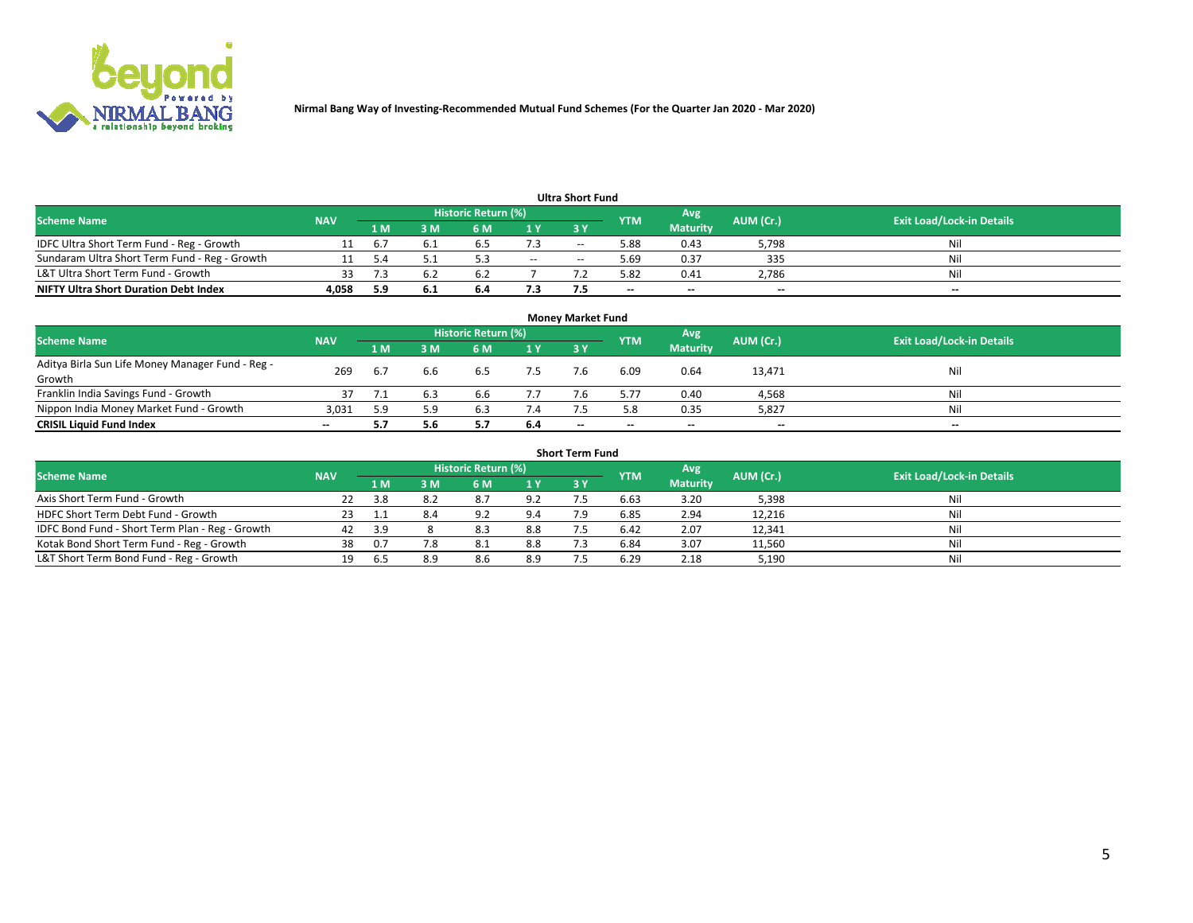

|                                               |            |     |      |                     |     | <b>Ultra Short Fund</b> |            |                 |           |                                  |
|-----------------------------------------------|------------|-----|------|---------------------|-----|-------------------------|------------|-----------------|-----------|----------------------------------|
| <b>Scheme Name</b>                            | <b>NAV</b> |     |      | Historic Return (%) |     |                         | <b>YTM</b> | Avg             | AUM (Cr.) | <b>Exit Load/Lock-in Details</b> |
|                                               |            | 1 M | 3 M  | 6 M                 | 1 Y | 3 Y                     |            | <b>Maturity</b> |           |                                  |
| IDFC Ultra Short Term Fund - Reg - Growth     |            | b.7 |      | 6.S                 | 7.3 | $- -$                   | 5.88       | 0.43            | 5,798     | Nil                              |
| Sundaram Ultra Short Term Fund - Reg - Growth |            |     |      |                     | $-$ | --                      | 5.69       | 0.37            | 335       | Nil                              |
| L&T Ultra Short Term Fund - Growth            |            |     |      | h                   |     |                         | 5.82       | 0.41            | 2,786     | Nil                              |
| <b>NIFTY Ultra Short Duration Debt Index</b>  | 4.058      | 5.9 | -6.1 | 6.4                 | 7.3 |                         | $\sim$     | $\sim$          | $\sim$    | $- -$                            |

| <b>Money Market Fund</b>                                   |            |     |     |                     |           |                          |                          |                 |           |                                  |  |  |  |
|------------------------------------------------------------|------------|-----|-----|---------------------|-----------|--------------------------|--------------------------|-----------------|-----------|----------------------------------|--|--|--|
| <b>Scheme Name</b>                                         | <b>NAV</b> |     |     | Historic Return (%) |           |                          | <b>YTM</b>               | 'Avg            | AUM (Cr.) | <b>Exit Load/Lock-in Details</b> |  |  |  |
|                                                            |            | 1 M | 3 M | 6 M                 | <b>1Y</b> | 3Y                       |                          | <b>Maturity</b> |           |                                  |  |  |  |
| Aditya Birla Sun Life Money Manager Fund - Reg -<br>Growth | 269        | 6.7 | 6.b | 6.5                 | 7.5       |                          | 6.09                     | 0.64            | 13,471    | Nil                              |  |  |  |
| Franklin India Savings Fund - Growth                       |            |     |     | 6.6                 | 7.7       |                          | 5.77                     | 0.40            | 4,568     | Nil                              |  |  |  |
| Nippon India Money Market Fund - Growth                    | 3,031      | 5.9 | 5.9 | 6.3                 | 7.4       |                          | 5.8                      | 0.35            | 5,827     | Nil                              |  |  |  |
| <b>CRISIL Liquid Fund Index</b>                            | $- -$      |     | 5.6 |                     | 6.4       | $\overline{\phantom{a}}$ | $\overline{\phantom{a}}$ | $\sim$          | $\sim$    | $\sim$                           |  |  |  |

| <b>Short Term Fund</b>                          |            |     |     |                     |     |           |            |                 |           |                                  |  |  |  |  |
|-------------------------------------------------|------------|-----|-----|---------------------|-----|-----------|------------|-----------------|-----------|----------------------------------|--|--|--|--|
| <b>Scheme Name</b>                              | <b>NAV</b> |     |     | Historic Return (%) |     |           | <b>YTM</b> | Avg             | AUM (Cr.) | <b>Exit Load/Lock-in Details</b> |  |  |  |  |
|                                                 |            | 1 M | 3 M | 6 M                 | 1Y  | <b>3Y</b> |            | <b>Maturity</b> |           |                                  |  |  |  |  |
| Axis Short Term Fund - Growth                   |            | 3.8 | 8.2 | 8.7                 | 9.2 |           | 6.63       | 3.20            | 5,398     | Nil                              |  |  |  |  |
| HDFC Short Term Debt Fund - Growth              | 23         |     | 8.4 | 9.2                 | 9.4 |           | 6.85       | 2.94            | 12,216    | Nil                              |  |  |  |  |
| IDFC Bond Fund - Short Term Plan - Reg - Growth | 42         | 3.9 |     | 8.3                 | 8.8 |           | 6.42       | 2.07            | 12,341    | Nil                              |  |  |  |  |
| Kotak Bond Short Term Fund - Reg - Growth       | 38         | 0.7 | 7.8 | 8.1                 | 8.8 |           | 6.84       | 3.07            | 11,560    | Nil                              |  |  |  |  |
| L&T Short Term Bond Fund - Reg - Growth         |            |     | 8.9 | 8.6                 | 8.9 |           | 6.29       | 2.18            | 5,190     | Nil                              |  |  |  |  |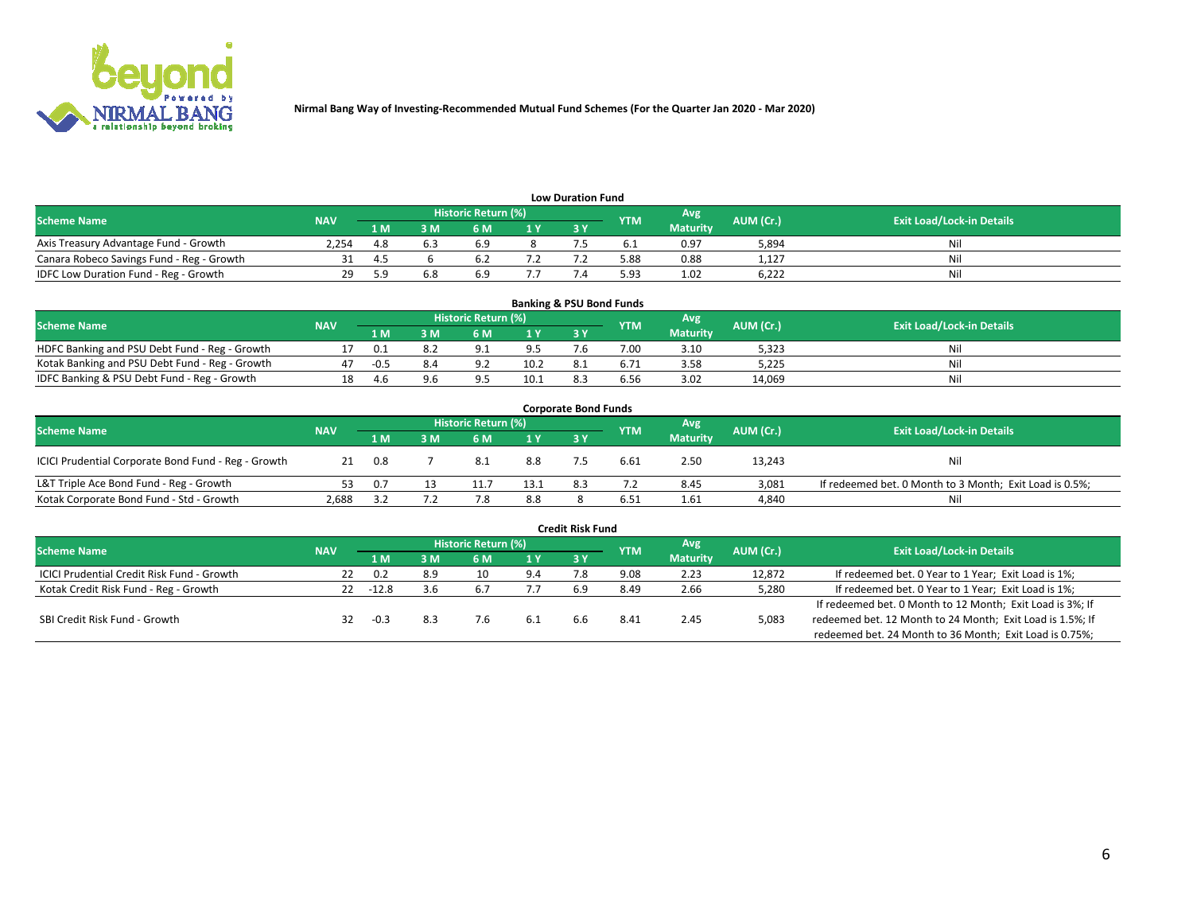

| <b>Low Duration Fund</b>                  |            |     |     |                            |     |  |            |                 |           |                                  |  |  |  |
|-------------------------------------------|------------|-----|-----|----------------------------|-----|--|------------|-----------------|-----------|----------------------------------|--|--|--|
| <b>Scheme Name</b>                        | <b>NAV</b> |     |     | <b>Historic Return (%)</b> |     |  | <b>YTM</b> | Avg             | AUM (Cr.) | <b>Exit Load/Lock-in Details</b> |  |  |  |
|                                           |            | 1 M | ያ M | 5 M                        | 1 V |  |            | <b>Maturity</b> |           |                                  |  |  |  |
| Axis Treasury Advantage Fund - Growth     | 2.254      |     |     |                            |     |  |            | 0.97            | 5,894     | Nil                              |  |  |  |
| Canara Robeco Savings Fund - Reg - Growth |            |     |     |                            |     |  | 5.88       | 0.88            | 1,127     | Nil                              |  |  |  |
| IDFC Low Duration Fund - Reg - Growth     |            | 5 Q | 6.8 |                            |     |  | 5.93       | 1.02            | 6,222     | Nil                              |  |  |  |

| <b>Banking &amp; PSU Bond Funds</b>            |            |     |    |                            |      |     |            |                 |           |                                  |  |  |  |
|------------------------------------------------|------------|-----|----|----------------------------|------|-----|------------|-----------------|-----------|----------------------------------|--|--|--|
| <b>Scheme Name</b>                             | <b>NAV</b> |     |    | <b>Historic Return (%)</b> |      |     | <b>YTM</b> | Avg             | AUM (Cr.) | <b>Exit Load/Lock-in Details</b> |  |  |  |
|                                                |            | 1 M | sм | 6 M                        |      | 3Y  |            | <b>Maturity</b> |           |                                  |  |  |  |
| HDFC Banking and PSU Debt Fund - Reg - Growth  |            | 0.1 |    | $\Omega$                   | 9.5  | / h | 7.00       | 3.10            | 5,323     | Ni                               |  |  |  |
| Kotak Banking and PSU Debt Fund - Reg - Growth |            |     |    | റാ                         | 10.2 | 8.1 |            | 3.58            | 5,225     | Ni                               |  |  |  |
| IDFC Banking & PSU Debt Fund - Reg - Growth    | 18         | 4.6 |    |                            | 10.1 |     | 6.56       | 3.02            | 14.069    | Ni                               |  |  |  |

| <b>Corporate Bond Funds</b>                                                                                                   |       |     |          |      |      |     |      |                 |        |                                                         |  |  |  |  |
|-------------------------------------------------------------------------------------------------------------------------------|-------|-----|----------|------|------|-----|------|-----------------|--------|---------------------------------------------------------|--|--|--|--|
| Historic Return (%)<br>Avg<br>AUM (Cr.)<br><b>Exit Load/Lock-in Details</b><br><b>Scheme Name</b><br><b>NAV</b><br><b>YTM</b> |       |     |          |      |      |     |      |                 |        |                                                         |  |  |  |  |
|                                                                                                                               |       | 1 M | <b>M</b> | 6 M  | 1 Y  | 3 Y |      | <b>Maturity</b> |        |                                                         |  |  |  |  |
| ICICI Prudential Corporate Bond Fund - Reg - Growth                                                                           | 21    | 0.8 |          | -8.1 | 8.8  |     | 6.61 | 2.50            | 13,243 | Nil                                                     |  |  |  |  |
| L&T Triple Ace Bond Fund - Reg - Growth                                                                                       |       | 0.7 |          |      | 13.1 | 8.3 |      | 8.45            | 3,081  | If redeemed bet. 0 Month to 3 Month; Exit Load is 0.5%; |  |  |  |  |
| Kotak Corporate Bond Fund - Std - Growth                                                                                      | 2,688 |     |          |      | 8.8  |     | 6.51 | 1.61            | 4,840  | Nil                                                     |  |  |  |  |

| <b>Credit Risk Fund</b>                    |            |        |     |                     |     |     |            |                 |           |                                                           |  |  |  |
|--------------------------------------------|------------|--------|-----|---------------------|-----|-----|------------|-----------------|-----------|-----------------------------------------------------------|--|--|--|
| <b>Scheme Name</b>                         | <b>NAV</b> |        |     | Historic Return (%) |     |     | <b>YTM</b> | Avg             | AUM (Cr.) | <b>Exit Load/Lock-in Details</b>                          |  |  |  |
|                                            |            | 1 M    | I M | 6 M                 | 1 Y | 3Y  |            | <b>Maturity</b> |           |                                                           |  |  |  |
| ICICI Prudential Credit Risk Fund - Growth | 22         | 0.2    | 8.9 | 10                  | 9.4 |     | 9.08       | 2.23            | 12,872    | If redeemed bet. 0 Year to 1 Year; Exit Load is 1%;       |  |  |  |
| Kotak Credit Risk Fund - Reg - Growth      | 22.        | -12.8  | 3.6 | b.                  |     | 6.9 | 8.49       | 2.66            | 5,280     | If redeemed bet. 0 Year to 1 Year; Exit Load is 1%;       |  |  |  |
|                                            |            |        |     |                     |     |     |            |                 |           | If redeemed bet. 0 Month to 12 Month; Exit Load is 3%; If |  |  |  |
| SBI Credit Risk Fund - Growth              | 32         | $-0.3$ |     |                     |     |     | 8.4        | 2.45            | 5,083     | redeemed bet. 12 Month to 24 Month; Exit Load is 1.5%; If |  |  |  |
|                                            |            |        |     |                     |     |     |            |                 |           | redeemed bet. 24 Month to 36 Month; Exit Load is 0.75%;   |  |  |  |